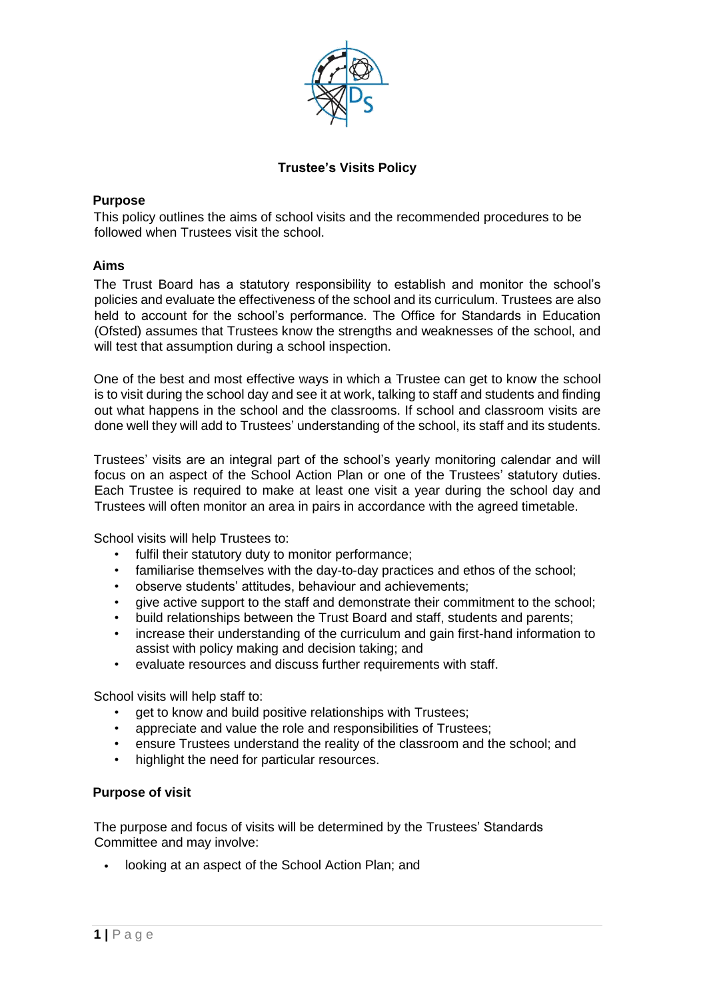

# **Trustee's Visits Policy**

## **Purpose**

This policy outlines the aims of school visits and the recommended procedures to be followed when Trustees visit the school.

# **Aims**

The Trust Board has a statutory responsibility to establish and monitor the school's policies and evaluate the effectiveness of the school and its curriculum. Trustees are also held to account for the school's performance. The Office for Standards in Education (Ofsted) assumes that Trustees know the strengths and weaknesses of the school, and will test that assumption during a school inspection.

One of the best and most effective ways in which a Trustee can get to know the school is to visit during the school day and see it at work, talking to staff and students and finding out what happens in the school and the classrooms. If school and classroom visits are done well they will add to Trustees' understanding of the school, its staff and its students.

Trustees' visits are an integral part of the school's yearly monitoring calendar and will focus on an aspect of the School Action Plan or one of the Trustees' statutory duties. Each Trustee is required to make at least one visit a year during the school day and Trustees will often monitor an area in pairs in accordance with the agreed timetable.

School visits will help Trustees to:

- fulfil their statutory duty to monitor performance;
- familiarise themselves with the day-to-day practices and ethos of the school;
- observe students' attitudes, behaviour and achievements;
- give active support to the staff and demonstrate their commitment to the school;
- build relationships between the Trust Board and staff, students and parents;
- increase their understanding of the curriculum and gain first-hand information to assist with policy making and decision taking; and
- evaluate resources and discuss further requirements with staff.

School visits will help staff to:

- get to know and build positive relationships with Trustees;
- appreciate and value the role and responsibilities of Trustees;
- ensure Trustees understand the reality of the classroom and the school; and
- highlight the need for particular resources.

#### **Purpose of visit**

The purpose and focus of visits will be determined by the Trustees' Standards Committee and may involve:

• looking at an aspect of the School Action Plan; and